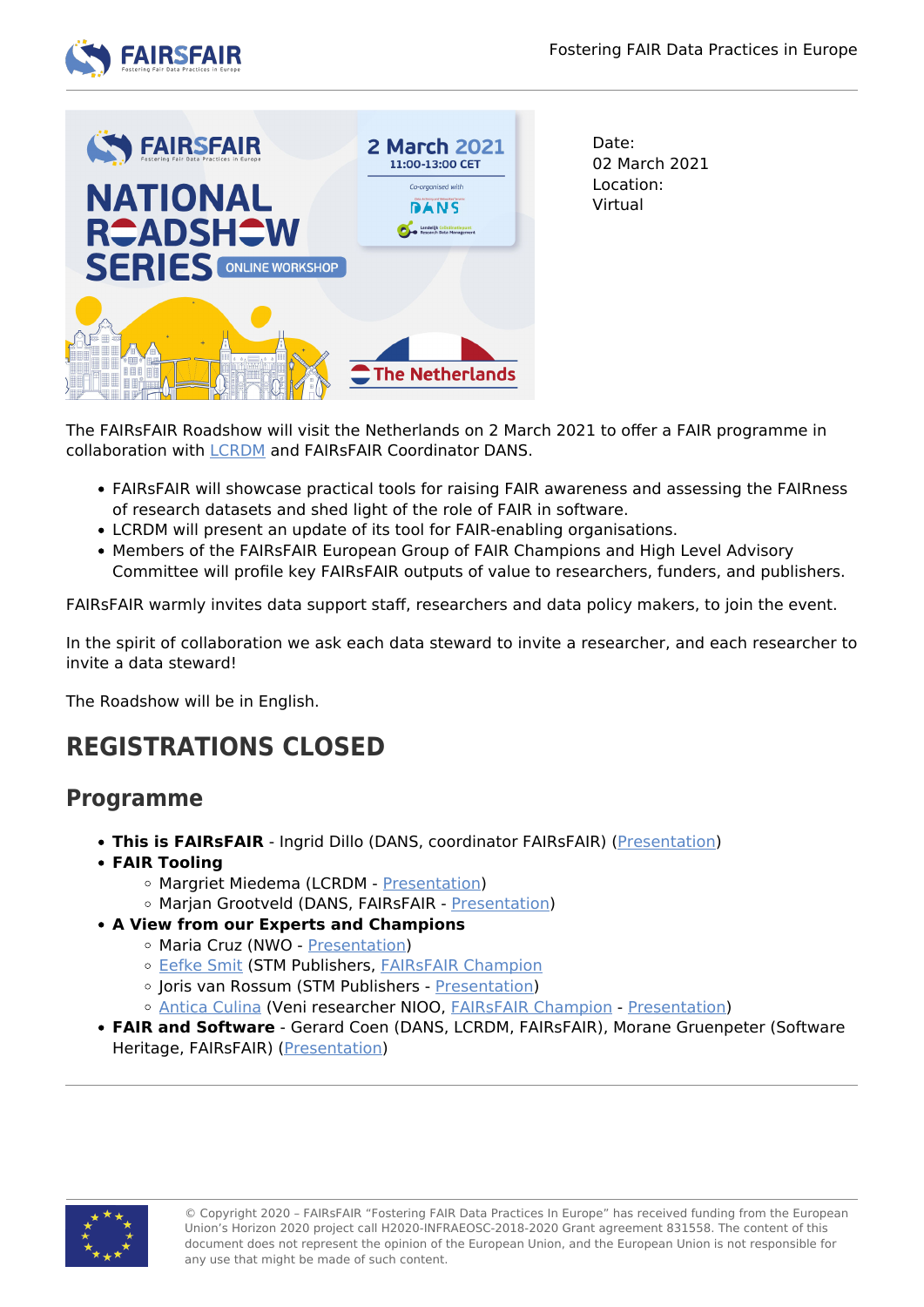



Date: 02 March 2021 Location: Virtual

The FAIRsFAIR Roadshow will visit the Netherlands on 2 March 2021 to offer a FAIR programme in collaboration with [LCRDM](https://www.lcrdm.nl/en) and FAIRsFAIR Coordinator DANS.

- FAIRsFAIR will showcase practical tools for raising FAIR awareness and assessing the FAIRness of research datasets and shed light of the role of FAIR in software.
- LCRDM will present an update of its tool for FAIR-enabling organisations.
- Members of the FAIRsFAIR European Group of FAIR Champions and High Level Advisory Committee will profile key FAIRsFAIR outputs of value to researchers, funders, and publishers.

FAIRsFAIR warmly invites data support staff, researchers and data policy makers, to join the event.

In the spirit of collaboration we ask each data steward to invite a researcher, and each researcher to invite a data steward!

The Roadshow will be in English.

## **REGISTRATIONS CLOSED**

## **Programme**

- **This is FAIRsFAIR** Ingrid Dillo (DANS, coordinator FAIRsFAIR) [\(Presentation](https://www.fairsfair.eu/sites/default/files/01%20-%20FAIRsFAIR%20in%20a%20Nutshell%2C%20NL%20Roadshow%2C%2002-03-2021%20-%20Dillo.pdf#overlay-context=events/fairsfair-roadshow-netherlands))
- **FAIR Tooling**
	- Margriet Miedema (LCRDM [Presentation\)](https://www.fairsfair.eu/sites/default/files/02%20-%20LCRDM%20FAIRsFAIR%20-%20Miedema.pdf#overlay-context=events/fairsfair-roadshow-netherlands)
	- o Marjan Grootveld (DANS, FAIRsFAIR - [Presentation](https://www.fairsfair.eu/sites/default/files/03%20-%2020210302%20FsF%20Roadshow%20-%20Measuring%20FAIRness%20-%20Grootveld.pdf#overlay-context=events/fairsfair-roadshow-netherlands))
- **A View from our Experts and Champions**
	- Maria Cruz (NWO - [Presentation\)](https://www.fairsfair.eu/sites/default/files/04%20-%20NWO%20and%20FAIR%20data%20-%20Cruz.pdf#overlay-context=events/fairsfair-roadshow-netherlands)
	- o [Eefke Smit](https://www.fairsfair.eu/advisory-board/eefke-smit) (STM Publishers, [FAIRsFAIR Champion](https://www.fairsfair.eu/advisory-board/egfc)
	- o Joris van Rossum (STM Publishers [Presentation\)](https://www.fairsfair.eu/sites/default/files/05%20-%202021%20MARCH%20FairsFair%20Roadshow%20NL%20-%20Smit%20Van%20Rossum.pdf#overlay-context=events/fairsfair-roadshow-netherlands)
	- o [Antica Culina](https://www.fairsfair.eu/advisory-board/antica-culina) (Veni researcher NIOO, FAIRSFAIR Champion [Presentation\)](https://www.fairsfair.eu/sites/default/files/06%20-%20FAIRsFAIR_Culina.pdf#overlay-context=events/fairsfair-roadshow-netherlands)
- **FAIR and Software** Gerard Coen (DANS, LCRDM, FAIRsFAIR), Morane Gruenpeter (Software Heritage, FAIRsFAIR) [\(Presentation](https://www.fairsfair.eu/sites/default/files/07%20-%20FAIRsFAIR_NationalRoadshowNL_FAIRandSoftware_MoGr_GeCo.pdf#overlay-context=events/fairsfair-roadshow-netherlands))